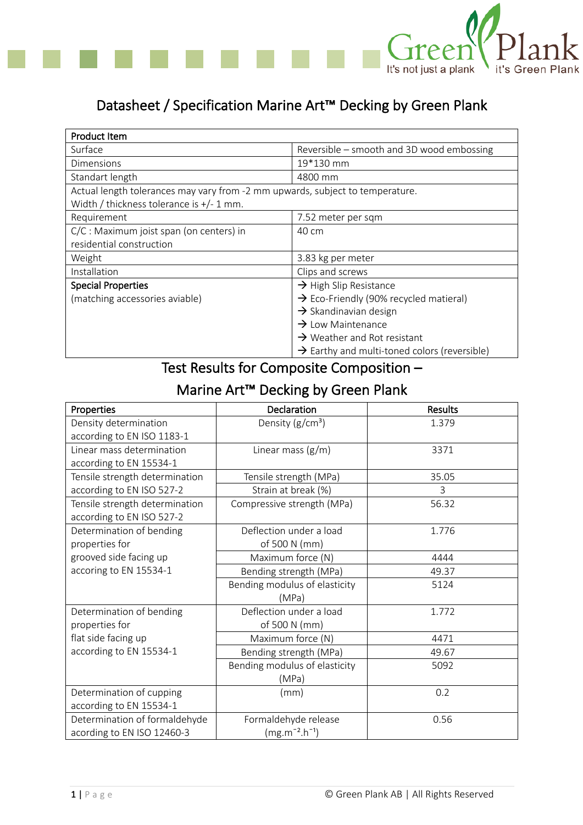

## Datasheet / Specification Marine Art™ Decking by Green Plank

| Product Item                                                                  |                                                          |  |
|-------------------------------------------------------------------------------|----------------------------------------------------------|--|
| Surface                                                                       | Reversible – smooth and 3D wood embossing                |  |
| Dimensions                                                                    | 19*130 mm                                                |  |
| Standart length                                                               | 4800 mm                                                  |  |
| Actual length tolerances may vary from -2 mm upwards, subject to temperature. |                                                          |  |
| Width / thickness tolerance is $+/- 1$ mm.                                    |                                                          |  |
| Requirement                                                                   | 7.52 meter per sqm                                       |  |
| C/C : Maximum joist span (on centers) in                                      | 40 cm                                                    |  |
| residential construction                                                      |                                                          |  |
| Weight                                                                        | 3.83 kg per meter                                        |  |
| Installation                                                                  | Clips and screws                                         |  |
| <b>Special Properties</b>                                                     | $\rightarrow$ High Slip Resistance                       |  |
| (matching accessories aviable)                                                | $\rightarrow$ Eco-Friendly (90% recycled matieral)       |  |
|                                                                               | $\rightarrow$ Skandinavian design                        |  |
|                                                                               | $\rightarrow$ Low Maintenance                            |  |
|                                                                               | $\rightarrow$ Weather and Rot resistant                  |  |
|                                                                               | $\rightarrow$ Earthy and multi-toned colors (reversible) |  |

## Test Results for Composite Composition –

## Marine Art™ Decking by Green Plank

| Properties                     | Declaration                   | Results |
|--------------------------------|-------------------------------|---------|
| Density determination          | Density $(g/cm^3)$            | 1.379   |
| according to EN ISO 1183-1     |                               |         |
| Linear mass determination      | Linear mass $(g/m)$           | 3371    |
| according to EN 15534-1        |                               |         |
| Tensile strength determination | Tensile strength (MPa)        | 35.05   |
| according to EN ISO 527-2      | Strain at break (%)           | 3       |
| Tensile strength determination | Compressive strength (MPa)    | 56.32   |
| according to EN ISO 527-2      |                               |         |
| Determination of bending       | Deflection under a load       | 1.776   |
| properties for                 | of 500 N (mm)                 |         |
| grooved side facing up         | Maximum force (N)             | 4444    |
| accoring to EN 15534-1         | Bending strength (MPa)        | 49.37   |
|                                | Bending modulus of elasticity | 5124    |
|                                | (MPa)                         |         |
| Determination of bending       | Deflection under a load       | 1.772   |
| properties for                 | of 500 N (mm)                 |         |
| flat side facing up            | Maximum force (N)             | 4471    |
| according to EN 15534-1        | Bending strength (MPa)        | 49.67   |
|                                | Bending modulus of elasticity | 5092    |
|                                | (MPa)                         |         |
| Determination of cupping       | (mm)                          | 0.2     |
| according to EN 15534-1        |                               |         |
| Determination of formaldehyde  | Formaldehyde release          | 0.56    |
| acording to EN ISO 12460-3     | $(mg.m^{-2}.h^{-1})$          |         |